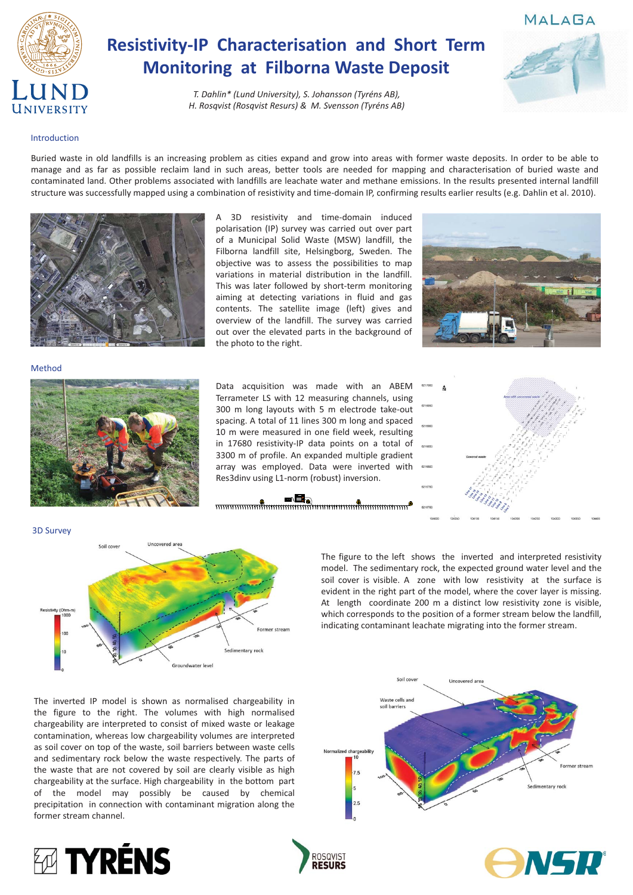

# **Resistivity-IP Characterisation and Short Term Monitoring at Filborna Waste Deposit**

*T.-Dahlin\*-(Lund-University),-S.-Johansson-(Tyréns-AB), H. Rosqvist (Rosqvist Resurs) & M. Svensson (Tyréns AB)* 

Buried waste in old landfills is an increasing problem as cities expand and grow into areas with former waste deposits. In order to be able to manage and as far as possible reclaim land in such areas, better tools are needed for mapping and characterisation of buried waste and contaminated land. Other problems associated with landfills are leachate water and methane emissions. In the results presented internal landfill structure was successfully mapped using a combination of resistivity and time-domain IP, confirming results earlier results (e.g. Dahlin et al. 2010).



Data acquisition was made with an ABEM Terrameter LS with 12 measuring channels, using 300 m long layouts with 5 m electrode take-out spacing. A total of 11 lines 300 m long and spaced 10 m were measured in one field week, resulting in 17680 resistivity-IP data points on a total of 3300 m of profile. An expanded multiple gradient array was employed. Data were inverted with Res3dinv using L1-norm (robust) inversion.





#### Introduction

Method



The figure to the left shows the inverted and interpreted resistivity model. The sedimentary rock, the expected ground water level and the soil cover is visible. A zone with low resistivity at the surface is evident in the right part of the model, where the cover layer is missing. At length coordinate 200 m a distinct low resistivity zone is visible, which corresponds to the position of a former stream below the landfill, indicating contaminant leachate migrating into the former stream.

### MALAGA





The inverted IP model is shown as normalised chargeability in the figure to the right. The volumes with high normalised chargeability are interpreted to consist of mixed waste or leakage contamination, whereas low chargeability volumes are interpreted as soil cover on top of the waste, soil barriers between waste cells and sedimentary rock below the waste respectively. The parts of the waste that are not covered by soil are clearly visible as high chargeability at the surface. High chargeability in the bottom part of the model may possibly be caused by chemical precipitation in connection with contaminant migration along the former stream channel.









A 3D resistivity and time-domain induced polarisation (IP) survey was carried out over part of a Municipal Solid Waste (MSW) landfill, the Filborna landfill site, Helsingborg, Sweden. The objective was to assess the possibilities to map variations in material distribution in the landfill. This was later followed by short-term monitoring aiming at detecting variations in fluid and gas contents. The satellite image (left) gives and overview of the landfill. The survey was carried out over the elevated parts in the background of the photo to the right.